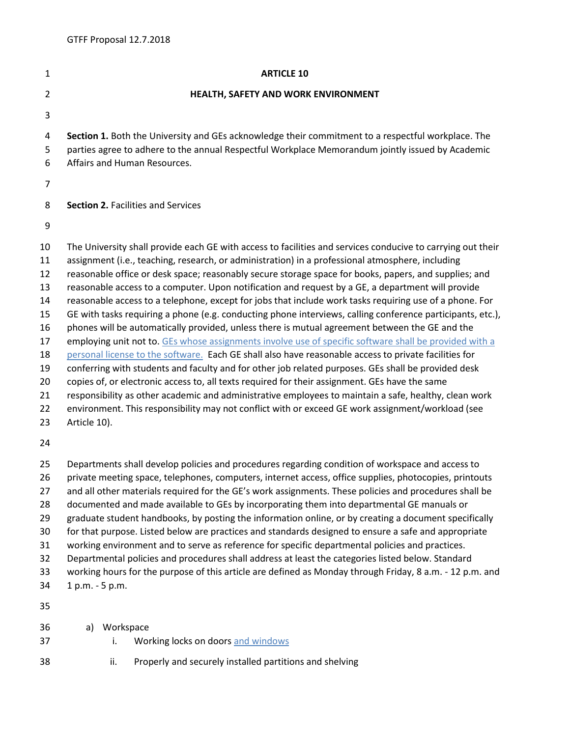| 1                                                                                      | <b>ARTICLE 10</b>                                                                                                                                                                                                                                                                                                                                                                                                                                                                                                                                                                                                                                                                                                                                                                                                                                                                                                                                                                                                                                                                                                                                                                                                                                                                                                                                                                                                  |
|----------------------------------------------------------------------------------------|--------------------------------------------------------------------------------------------------------------------------------------------------------------------------------------------------------------------------------------------------------------------------------------------------------------------------------------------------------------------------------------------------------------------------------------------------------------------------------------------------------------------------------------------------------------------------------------------------------------------------------------------------------------------------------------------------------------------------------------------------------------------------------------------------------------------------------------------------------------------------------------------------------------------------------------------------------------------------------------------------------------------------------------------------------------------------------------------------------------------------------------------------------------------------------------------------------------------------------------------------------------------------------------------------------------------------------------------------------------------------------------------------------------------|
| $\overline{2}$                                                                         | HEALTH, SAFETY AND WORK ENVIRONMENT                                                                                                                                                                                                                                                                                                                                                                                                                                                                                                                                                                                                                                                                                                                                                                                                                                                                                                                                                                                                                                                                                                                                                                                                                                                                                                                                                                                |
| 3                                                                                      |                                                                                                                                                                                                                                                                                                                                                                                                                                                                                                                                                                                                                                                                                                                                                                                                                                                                                                                                                                                                                                                                                                                                                                                                                                                                                                                                                                                                                    |
| 4<br>5<br>6                                                                            | Section 1. Both the University and GEs acknowledge their commitment to a respectful workplace. The<br>parties agree to adhere to the annual Respectful Workplace Memorandum jointly issued by Academic<br>Affairs and Human Resources.                                                                                                                                                                                                                                                                                                                                                                                                                                                                                                                                                                                                                                                                                                                                                                                                                                                                                                                                                                                                                                                                                                                                                                             |
| 7                                                                                      |                                                                                                                                                                                                                                                                                                                                                                                                                                                                                                                                                                                                                                                                                                                                                                                                                                                                                                                                                                                                                                                                                                                                                                                                                                                                                                                                                                                                                    |
| 8                                                                                      | <b>Section 2. Facilities and Services</b>                                                                                                                                                                                                                                                                                                                                                                                                                                                                                                                                                                                                                                                                                                                                                                                                                                                                                                                                                                                                                                                                                                                                                                                                                                                                                                                                                                          |
| 9                                                                                      |                                                                                                                                                                                                                                                                                                                                                                                                                                                                                                                                                                                                                                                                                                                                                                                                                                                                                                                                                                                                                                                                                                                                                                                                                                                                                                                                                                                                                    |
| 10<br>11<br>12<br>13<br>14<br>15<br>16<br>17<br>18<br>19<br>20<br>21<br>22<br>23<br>24 | The University shall provide each GE with access to facilities and services conducive to carrying out their<br>assignment (i.e., teaching, research, or administration) in a professional atmosphere, including<br>reasonable office or desk space; reasonably secure storage space for books, papers, and supplies; and<br>reasonable access to a computer. Upon notification and request by a GE, a department will provide<br>reasonable access to a telephone, except for jobs that include work tasks requiring use of a phone. For<br>GE with tasks requiring a phone (e.g. conducting phone interviews, calling conference participants, etc.),<br>phones will be automatically provided, unless there is mutual agreement between the GE and the<br>employing unit not to. GEs whose assignments involve use of specific software shall be provided with a<br>personal license to the software. Each GE shall also have reasonable access to private facilities for<br>conferring with students and faculty and for other job related purposes. GEs shall be provided desk<br>copies of, or electronic access to, all texts required for their assignment. GEs have the same<br>responsibility as other academic and administrative employees to maintain a safe, healthy, clean work<br>environment. This responsibility may not conflict with or exceed GE work assignment/workload (see<br>Article 10). |
| 25<br>26<br>27<br>28<br>29<br>30<br>31<br>32<br>33<br>34<br>35                         | Departments shall develop policies and procedures regarding condition of workspace and access to<br>private meeting space, telephones, computers, internet access, office supplies, photocopies, printouts<br>and all other materials required for the GE's work assignments. These policies and procedures shall be<br>documented and made available to GEs by incorporating them into departmental GE manuals or<br>graduate student handbooks, by posting the information online, or by creating a document specifically<br>for that purpose. Listed below are practices and standards designed to ensure a safe and appropriate<br>working environment and to serve as reference for specific departmental policies and practices.<br>Departmental policies and procedures shall address at least the categories listed below. Standard<br>working hours for the purpose of this article are defined as Monday through Friday, 8 a.m. - 12 p.m. and<br>1 p.m. - 5 p.m.                                                                                                                                                                                                                                                                                                                                                                                                                                         |
| 36<br>37                                                                               | Workspace<br>a)<br>Working locks on doors and windows<br>İ.                                                                                                                                                                                                                                                                                                                                                                                                                                                                                                                                                                                                                                                                                                                                                                                                                                                                                                                                                                                                                                                                                                                                                                                                                                                                                                                                                        |

ii. Properly and securely installed partitions and shelving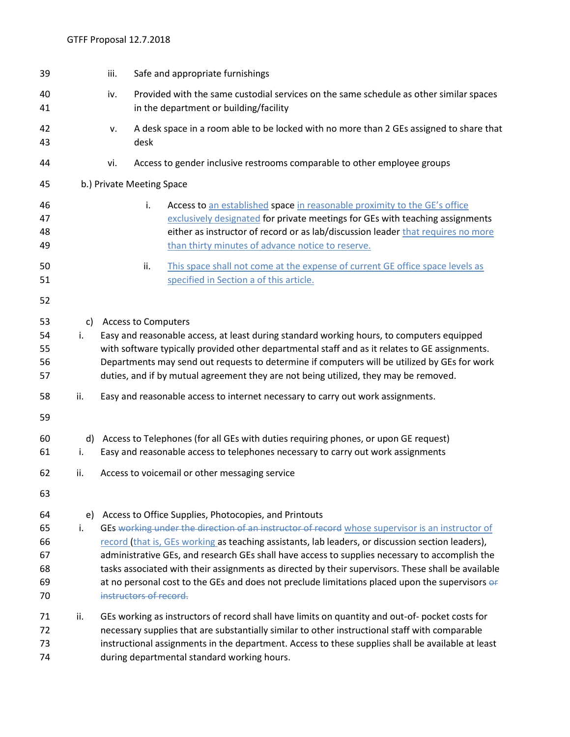| 39                                     |          | iii. | Safe and appropriate furnishings                                                                                                                                                                                                                                                                                                                                                                                                                                                                                                                                                                   |
|----------------------------------------|----------|------|----------------------------------------------------------------------------------------------------------------------------------------------------------------------------------------------------------------------------------------------------------------------------------------------------------------------------------------------------------------------------------------------------------------------------------------------------------------------------------------------------------------------------------------------------------------------------------------------------|
| 40<br>41                               |          | iv.  | Provided with the same custodial services on the same schedule as other similar spaces<br>in the department or building/facility                                                                                                                                                                                                                                                                                                                                                                                                                                                                   |
| 42<br>43                               |          | v.   | A desk space in a room able to be locked with no more than 2 GEs assigned to share that<br>desk                                                                                                                                                                                                                                                                                                                                                                                                                                                                                                    |
| 44                                     |          | vi.  | Access to gender inclusive restrooms comparable to other employee groups                                                                                                                                                                                                                                                                                                                                                                                                                                                                                                                           |
| 45                                     |          |      | b.) Private Meeting Space                                                                                                                                                                                                                                                                                                                                                                                                                                                                                                                                                                          |
| 46<br>47<br>48<br>49                   |          |      | i.<br>Access to an established space in reasonable proximity to the GE's office<br>exclusively designated for private meetings for GEs with teaching assignments<br>either as instructor of record or as lab/discussion leader that requires no more<br>than thirty minutes of advance notice to reserve.                                                                                                                                                                                                                                                                                          |
| 50<br>51                               |          |      | This space shall not come at the expense of current GE office space levels as<br>ii.<br>specified in Section a of this article.                                                                                                                                                                                                                                                                                                                                                                                                                                                                    |
| 52                                     |          |      |                                                                                                                                                                                                                                                                                                                                                                                                                                                                                                                                                                                                    |
| 53<br>54<br>55<br>56<br>57             | c)<br>i. |      | <b>Access to Computers</b><br>Easy and reasonable access, at least during standard working hours, to computers equipped<br>with software typically provided other departmental staff and as it relates to GE assignments.<br>Departments may send out requests to determine if computers will be utilized by GEs for work<br>duties, and if by mutual agreement they are not being utilized, they may be removed.                                                                                                                                                                                  |
| 58<br>59                               | ii.      |      | Easy and reasonable access to internet necessary to carry out work assignments.                                                                                                                                                                                                                                                                                                                                                                                                                                                                                                                    |
| 60<br>61                               | d)<br>i. |      | Access to Telephones (for all GEs with duties requiring phones, or upon GE request)<br>Easy and reasonable access to telephones necessary to carry out work assignments                                                                                                                                                                                                                                                                                                                                                                                                                            |
| 62                                     | ii.      |      | Access to voicemail or other messaging service                                                                                                                                                                                                                                                                                                                                                                                                                                                                                                                                                     |
| 63                                     |          |      |                                                                                                                                                                                                                                                                                                                                                                                                                                                                                                                                                                                                    |
| 64<br>65<br>66<br>67<br>68<br>69<br>70 | e)<br>i. |      | Access to Office Supplies, Photocopies, and Printouts<br>GEs working under the direction of an instructor of record whose supervisor is an instructor of<br>record (that is, GEs working as teaching assistants, lab leaders, or discussion section leaders),<br>administrative GEs, and research GEs shall have access to supplies necessary to accomplish the<br>tasks associated with their assignments as directed by their supervisors. These shall be available<br>at no personal cost to the GEs and does not preclude limitations placed upon the supervisors of<br>instructors of record. |
| 71<br>72<br>73<br>74                   | ii.      |      | GEs working as instructors of record shall have limits on quantity and out-of-pocket costs for<br>necessary supplies that are substantially similar to other instructional staff with comparable<br>instructional assignments in the department. Access to these supplies shall be available at least<br>during departmental standard working hours.                                                                                                                                                                                                                                               |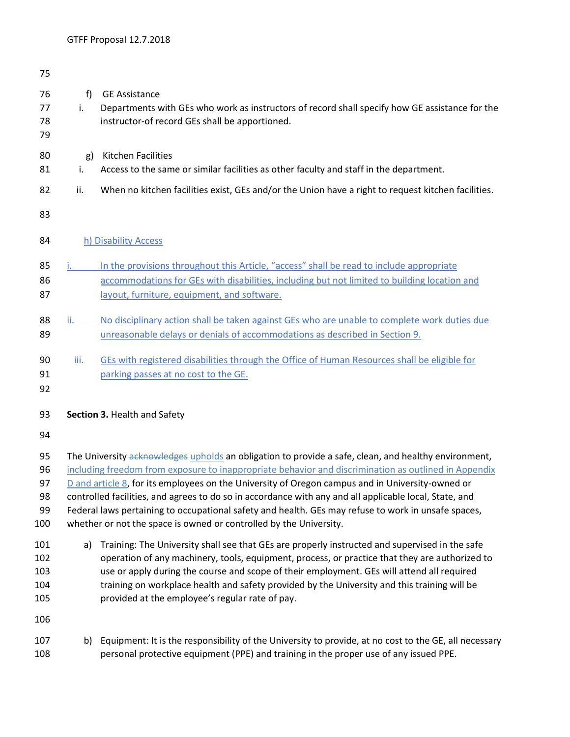| 75                                |                                                                                                                                                                                                                                                                                                                                                                                                                                                                                                                                                                                                           |                                                                                                                                                                                                                                                                                                                                                                                                                                                   |  |  |  |  |  |
|-----------------------------------|-----------------------------------------------------------------------------------------------------------------------------------------------------------------------------------------------------------------------------------------------------------------------------------------------------------------------------------------------------------------------------------------------------------------------------------------------------------------------------------------------------------------------------------------------------------------------------------------------------------|---------------------------------------------------------------------------------------------------------------------------------------------------------------------------------------------------------------------------------------------------------------------------------------------------------------------------------------------------------------------------------------------------------------------------------------------------|--|--|--|--|--|
| 76<br>77<br>78<br>79              | f<br>i.                                                                                                                                                                                                                                                                                                                                                                                                                                                                                                                                                                                                   | <b>GE Assistance</b><br>Departments with GEs who work as instructors of record shall specify how GE assistance for the<br>instructor-of record GEs shall be apportioned.                                                                                                                                                                                                                                                                          |  |  |  |  |  |
| 80<br>81                          | g)<br>i.                                                                                                                                                                                                                                                                                                                                                                                                                                                                                                                                                                                                  | <b>Kitchen Facilities</b><br>Access to the same or similar facilities as other faculty and staff in the department.                                                                                                                                                                                                                                                                                                                               |  |  |  |  |  |
| 82                                | ii.                                                                                                                                                                                                                                                                                                                                                                                                                                                                                                                                                                                                       | When no kitchen facilities exist, GEs and/or the Union have a right to request kitchen facilities.                                                                                                                                                                                                                                                                                                                                                |  |  |  |  |  |
| 83                                |                                                                                                                                                                                                                                                                                                                                                                                                                                                                                                                                                                                                           |                                                                                                                                                                                                                                                                                                                                                                                                                                                   |  |  |  |  |  |
| 84                                |                                                                                                                                                                                                                                                                                                                                                                                                                                                                                                                                                                                                           | h) Disability Access                                                                                                                                                                                                                                                                                                                                                                                                                              |  |  |  |  |  |
| 85<br>86<br>87                    |                                                                                                                                                                                                                                                                                                                                                                                                                                                                                                                                                                                                           | In the provisions throughout this Article, "access" shall be read to include appropriate<br>accommodations for GEs with disabilities, including but not limited to building location and<br>layout, furniture, equipment, and software.                                                                                                                                                                                                           |  |  |  |  |  |
| 88<br>89                          | $\mathsf{ii}$ .                                                                                                                                                                                                                                                                                                                                                                                                                                                                                                                                                                                           | No disciplinary action shall be taken against GEs who are unable to complete work duties due<br>unreasonable delays or denials of accommodations as described in Section 9.                                                                                                                                                                                                                                                                       |  |  |  |  |  |
| 90<br>91<br>92                    | iii.                                                                                                                                                                                                                                                                                                                                                                                                                                                                                                                                                                                                      | GEs with registered disabilities through the Office of Human Resources shall be eligible for<br>parking passes at no cost to the GE.                                                                                                                                                                                                                                                                                                              |  |  |  |  |  |
| 93                                |                                                                                                                                                                                                                                                                                                                                                                                                                                                                                                                                                                                                           | Section 3. Health and Safety                                                                                                                                                                                                                                                                                                                                                                                                                      |  |  |  |  |  |
| 94                                |                                                                                                                                                                                                                                                                                                                                                                                                                                                                                                                                                                                                           |                                                                                                                                                                                                                                                                                                                                                                                                                                                   |  |  |  |  |  |
| 95<br>96<br>97<br>98<br>99<br>100 | The University acknowledges upholds an obligation to provide a safe, clean, and healthy environment,<br>including freedom from exposure to inappropriate behavior and discrimination as outlined in Appendix<br>$D$ and article 8, for its employees on the University of Oregon campus and in University-owned or<br>controlled facilities, and agrees to do so in accordance with any and all applicable local, State, and<br>Federal laws pertaining to occupational safety and health. GEs may refuse to work in unsafe spaces,<br>whether or not the space is owned or controlled by the University. |                                                                                                                                                                                                                                                                                                                                                                                                                                                   |  |  |  |  |  |
| 101<br>102<br>103<br>104<br>105   | a)                                                                                                                                                                                                                                                                                                                                                                                                                                                                                                                                                                                                        | Training: The University shall see that GEs are properly instructed and supervised in the safe<br>operation of any machinery, tools, equipment, process, or practice that they are authorized to<br>use or apply during the course and scope of their employment. GEs will attend all required<br>training on workplace health and safety provided by the University and this training will be<br>provided at the employee's regular rate of pay. |  |  |  |  |  |
| 106                               |                                                                                                                                                                                                                                                                                                                                                                                                                                                                                                                                                                                                           |                                                                                                                                                                                                                                                                                                                                                                                                                                                   |  |  |  |  |  |
| 107<br>108                        | b)                                                                                                                                                                                                                                                                                                                                                                                                                                                                                                                                                                                                        | Equipment: It is the responsibility of the University to provide, at no cost to the GE, all necessary<br>personal protective equipment (PPE) and training in the proper use of any issued PPE.                                                                                                                                                                                                                                                    |  |  |  |  |  |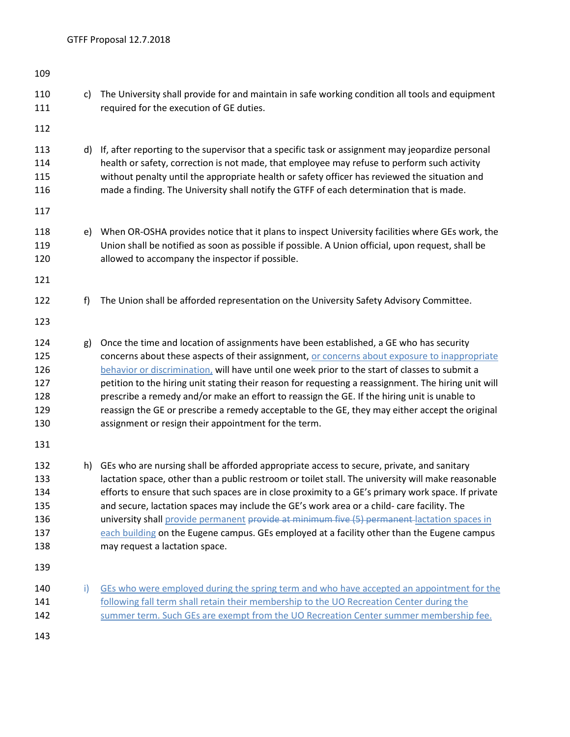| 109                                           |    |                                                                                                                                                                                                                                                                                                                                                                                                                                                                                                                                                                                                                                                              |
|-----------------------------------------------|----|--------------------------------------------------------------------------------------------------------------------------------------------------------------------------------------------------------------------------------------------------------------------------------------------------------------------------------------------------------------------------------------------------------------------------------------------------------------------------------------------------------------------------------------------------------------------------------------------------------------------------------------------------------------|
| 110<br>111                                    | c) | The University shall provide for and maintain in safe working condition all tools and equipment<br>required for the execution of GE duties.                                                                                                                                                                                                                                                                                                                                                                                                                                                                                                                  |
| 112                                           |    |                                                                                                                                                                                                                                                                                                                                                                                                                                                                                                                                                                                                                                                              |
| 113<br>114<br>115<br>116                      |    | d) If, after reporting to the supervisor that a specific task or assignment may jeopardize personal<br>health or safety, correction is not made, that employee may refuse to perform such activity<br>without penalty until the appropriate health or safety officer has reviewed the situation and<br>made a finding. The University shall notify the GTFF of each determination that is made.                                                                                                                                                                                                                                                              |
| 117                                           |    |                                                                                                                                                                                                                                                                                                                                                                                                                                                                                                                                                                                                                                                              |
| 118<br>119<br>120                             | e) | When OR-OSHA provides notice that it plans to inspect University facilities where GEs work, the<br>Union shall be notified as soon as possible if possible. A Union official, upon request, shall be<br>allowed to accompany the inspector if possible.                                                                                                                                                                                                                                                                                                                                                                                                      |
| 121                                           |    |                                                                                                                                                                                                                                                                                                                                                                                                                                                                                                                                                                                                                                                              |
| 122                                           | f) | The Union shall be afforded representation on the University Safety Advisory Committee.                                                                                                                                                                                                                                                                                                                                                                                                                                                                                                                                                                      |
| 123                                           |    |                                                                                                                                                                                                                                                                                                                                                                                                                                                                                                                                                                                                                                                              |
| 124<br>125<br>126<br>127<br>128<br>129<br>130 | g) | Once the time and location of assignments have been established, a GE who has security<br>concerns about these aspects of their assignment, or concerns about exposure to inappropriate<br>behavior or discrimination, will have until one week prior to the start of classes to submit a<br>petition to the hiring unit stating their reason for requesting a reassignment. The hiring unit will<br>prescribe a remedy and/or make an effort to reassign the GE. If the hiring unit is unable to<br>reassign the GE or prescribe a remedy acceptable to the GE, they may either accept the original<br>assignment or resign their appointment for the term. |
| 131                                           |    |                                                                                                                                                                                                                                                                                                                                                                                                                                                                                                                                                                                                                                                              |
| 132<br>133<br>134<br>135<br>136<br>137<br>138 | h) | GEs who are nursing shall be afforded appropriate access to secure, private, and sanitary<br>lactation space, other than a public restroom or toilet stall. The university will make reasonable<br>efforts to ensure that such spaces are in close proximity to a GE's primary work space. If private<br>and secure, lactation spaces may include the GE's work area or a child- care facility. The<br>university shall provide permanent provide at minimum five (5) permanent lactation spaces in<br>each building on the Eugene campus. GEs employed at a facility other than the Eugene campus<br>may request a lactation space.                         |
| 139                                           |    |                                                                                                                                                                                                                                                                                                                                                                                                                                                                                                                                                                                                                                                              |
| 140<br>141<br>142                             | i) | GEs who were employed during the spring term and who have accepted an appointment for the<br>following fall term shall retain their membership to the UO Recreation Center during the<br>summer term. Such GEs are exempt from the UO Recreation Center summer membership fee.                                                                                                                                                                                                                                                                                                                                                                               |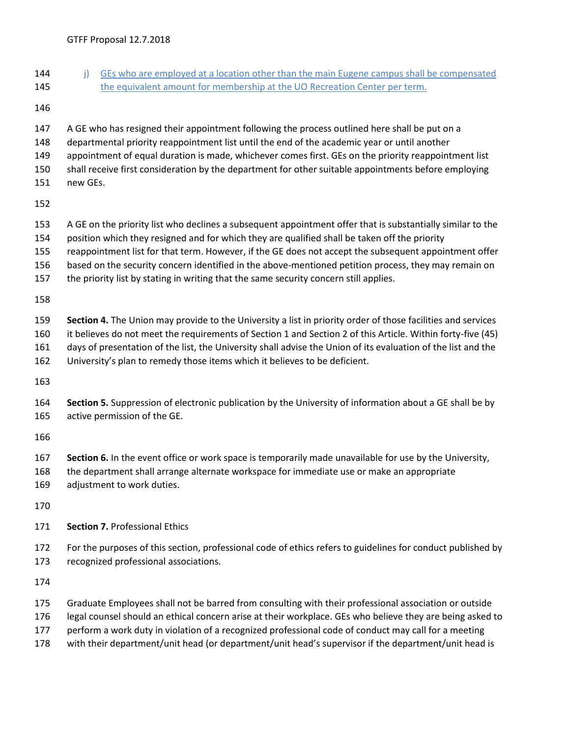- 144 j) GEs who are employed at a location other than the main Eugene campus shall be compensated 145 the equivalent amount for membership at the UO Recreation Center per term.
- 
- A GE who has resigned their appointment following the process outlined here shall be put on a
- departmental priority reappointment list until the end of the academic year or until another
- appointment of equal duration is made, whichever comes first. GEs on the priority reappointment list
- shall receive first consideration by the department for other suitable appointments before employing
- new GEs.
- 
- A GE on the priority list who declines a subsequent appointment offer that is substantially similar to the
- position which they resigned and for which they are qualified shall be taken off the priority
- reappointment list for that term. However, if the GE does not accept the subsequent appointment offer
- based on the security concern identified in the above-mentioned petition process, they may remain on
- the priority list by stating in writing that the same security concern still applies.
- 
- **Section 4.** The Union may provide to the University a list in priority order of those facilities and services it believes do not meet the requirements of Section 1 and Section 2 of this Article. Within forty-five (45)
- days of presentation of the list, the University shall advise the Union of its evaluation of the list and the
- University's plan to remedy those items which it believes to be deficient.
- 
- **Section 5.** Suppression of electronic publication by the University of information about a GE shall be by active permission of the GE.
- 
- **Section 6.** In the event office or work space is temporarily made unavailable for use by the University,
- the department shall arrange alternate workspace for immediate use or make an appropriate
- adjustment to work duties.
- 
- **Section 7.** Professional Ethics
- For the purposes of this section, professional code of ethics refers to guidelines for conduct published by recognized professional associations.
- 
- Graduate Employees shall not be barred from consulting with their professional association or outside
- legal counsel should an ethical concern arise at their workplace. GEs who believe they are being asked to
- perform a work duty in violation of a recognized professional code of conduct may call for a meeting
- with their department/unit head (or department/unit head's supervisor if the department/unit head is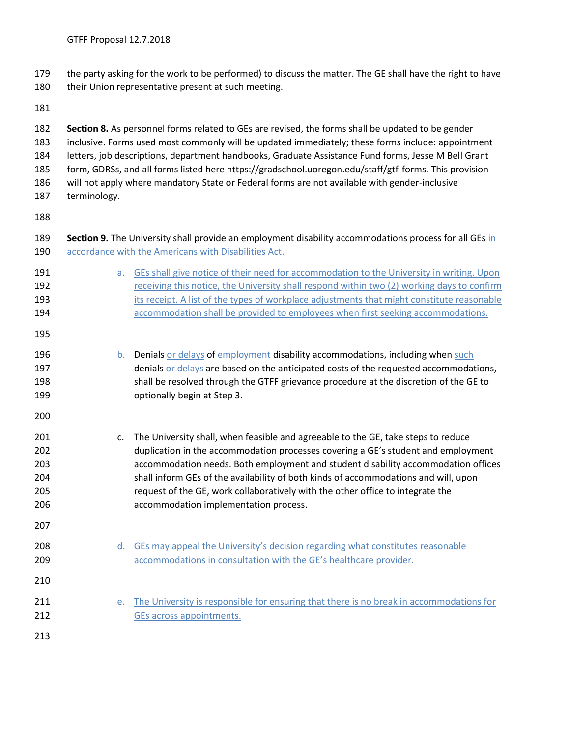the party asking for the work to be performed) to discuss the matter. The GE shall have the right to have

**Section 8.** As personnel forms related to GEs are revised, the forms shall be updated to be gender

- 180 their Union representative present at such meeting.
- 

 inclusive. Forms used most commonly will be updated immediately; these forms include: appointment letters, job descriptions, department handbooks, Graduate Assistance Fund forms, Jesse M Bell Grant form, GDRSs, and all forms listed here https://gradschool.uoregon.edu/staff/gtf-forms. This provision will not apply where mandatory State or Federal forms are not available with gender-inclusive terminology. **Section 9.** The University shall provide an employment disability accommodations process for all GEs in 190 accordance with the Americans with Disabilities Act. **a.** GEs shall give notice of their need for accommodation to the University in writing. Upon **192** receiving this notice, the University shall respond within two (2) working days to confirm **its receipt.** A list of the types of workplace adjustments that might constitute reasonable accommodation shall be provided to employees when first seeking accommodations. **b.** Denials or delays of employment disability accommodations, including when such denials or delays are based on the anticipated costs of the requested accommodations, shall be resolved through the GTFF grievance procedure at the discretion of the GE to optionally begin at Step 3. c. The University shall, when feasible and agreeable to the GE, take steps to reduce duplication in the accommodation processes covering a GE's student and employment accommodation needs. Both employment and student disability accommodation offices shall inform GEs of the availability of both kinds of accommodations and will, upon request of the GE, work collaboratively with the other office to integrate the accommodation implementation process. 208 d. GEs may appeal the University's decision regarding what constitutes reasonable **accommodations in consultation with the GE's healthcare provider.**  e. The University is responsible for ensuring that there is no break in accommodations for 212 GEs across appointments.